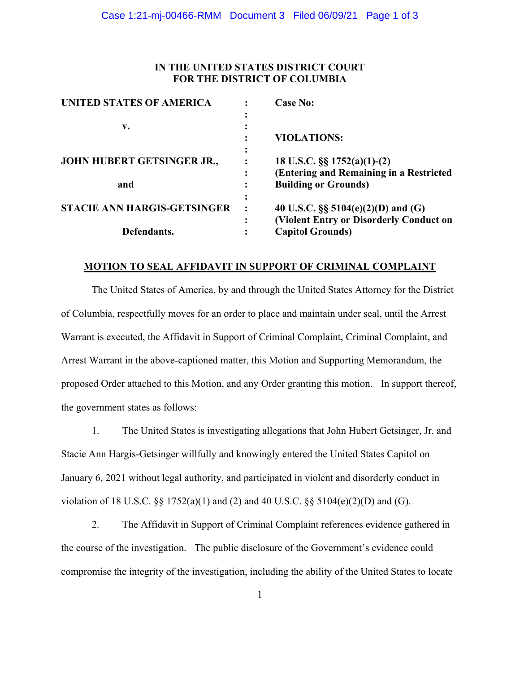# **IN THE UNITED STATES DISTRICT COURT FOR THE DISTRICT OF COLUMBIA**

| <b>UNITED STATES OF AMERICA</b>    | <b>Case No:</b>                         |
|------------------------------------|-----------------------------------------|
|                                    |                                         |
| v.                                 |                                         |
|                                    | <b>VIOLATIONS:</b>                      |
| JOHN HUBERT GETSINGER JR.,         |                                         |
|                                    | 18 U.S.C. $\S\S 1752(a)(1)-(2)$         |
|                                    | (Entering and Remaining in a Restricted |
| and                                | <b>Building or Grounds)</b>             |
| <b>STACIE ANN HARGIS-GETSINGER</b> |                                         |
|                                    | 40 U.S.C. $\S$ 5104(e)(2)(D) and (G)    |
|                                    | (Violent Entry or Disorderly Conduct on |
| Defendants.                        | <b>Capitol Grounds)</b>                 |

### **MOTION TO SEAL AFFIDAVIT IN SUPPORT OF CRIMINAL COMPLAINT**

The United States of America, by and through the United States Attorney for the District of Columbia, respectfully moves for an order to place and maintain under seal, until the Arrest Warrant is executed, the Affidavit in Support of Criminal Complaint, Criminal Complaint, and Arrest Warrant in the above-captioned matter, this Motion and Supporting Memorandum, the proposed Order attached to this Motion, and any Order granting this motion. In support thereof, the government states as follows:

1. The United States is investigating allegations that John Hubert Getsinger, Jr. and Stacie Ann Hargis-Getsinger willfully and knowingly entered the United States Capitol on January 6, 2021 without legal authority, and participated in violent and disorderly conduct in violation of 18 U.S.C.  $\S$  1752(a)(1) and (2) and 40 U.S.C.  $\S$  5104(e)(2)(D) and (G).

2. The Affidavit in Support of Criminal Complaint references evidence gathered in the course of the investigation. The public disclosure of the Government's evidence could compromise the integrity of the investigation, including the ability of the United States to locate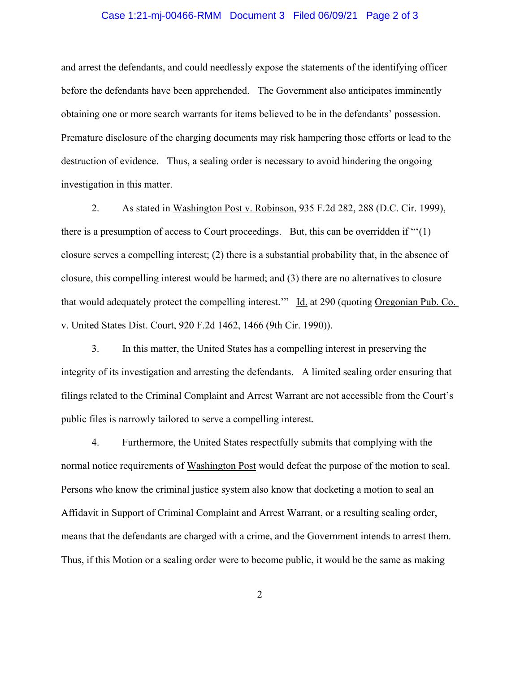#### Case 1:21-mj-00466-RMM Document 3 Filed 06/09/21 Page 2 of 3

and arrest the defendants, and could needlessly expose the statements of the identifying officer before the defendants have been apprehended. The Government also anticipates imminently obtaining one or more search warrants for items believed to be in the defendants' possession. Premature disclosure of the charging documents may risk hampering those efforts or lead to the destruction of evidence. Thus, a sealing order is necessary to avoid hindering the ongoing investigation in this matter.

 2. As stated in Washington Post v. Robinson, 935 F.2d 282, 288 (D.C. Cir. 1999), there is a presumption of access to Court proceedings. But, this can be overridden if "'(1) closure serves a compelling interest; (2) there is a substantial probability that, in the absence of closure, this compelling interest would be harmed; and (3) there are no alternatives to closure that would adequately protect the compelling interest.'" Id. at 290 (quoting Oregonian Pub. Co. v. United States Dist. Court, 920 F.2d 1462, 1466 (9th Cir. 1990)).

 3. In this matter, the United States has a compelling interest in preserving the integrity of its investigation and arresting the defendants. A limited sealing order ensuring that filings related to the Criminal Complaint and Arrest Warrant are not accessible from the Court's public files is narrowly tailored to serve a compelling interest.

 4. Furthermore, the United States respectfully submits that complying with the normal notice requirements of Washington Post would defeat the purpose of the motion to seal. Persons who know the criminal justice system also know that docketing a motion to seal an Affidavit in Support of Criminal Complaint and Arrest Warrant, or a resulting sealing order, means that the defendants are charged with a crime, and the Government intends to arrest them. Thus, if this Motion or a sealing order were to become public, it would be the same as making

2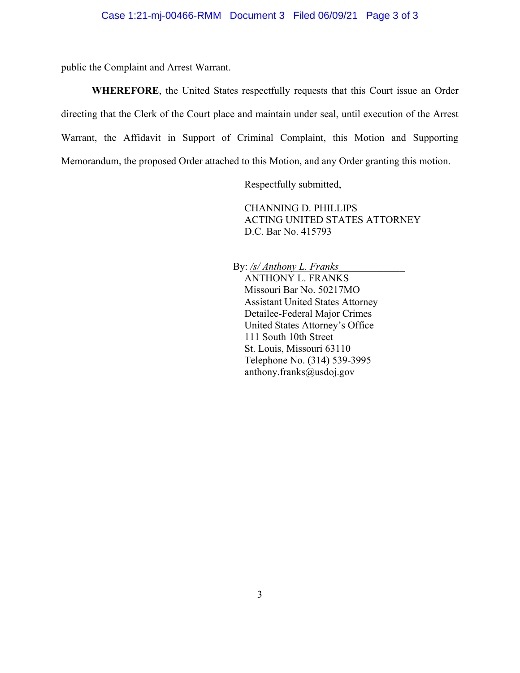public the Complaint and Arrest Warrant.

**WHEREFORE**, the United States respectfully requests that this Court issue an Order directing that the Clerk of the Court place and maintain under seal, until execution of the Arrest Warrant, the Affidavit in Support of Criminal Complaint, this Motion and Supporting Memorandum, the proposed Order attached to this Motion, and any Order granting this motion.

Respectfully submitted,

CHANNING D. PHILLIPS ACTING UNITED STATES ATTORNEY D.C. Bar No. 415793

By: <u>/s/ Anthony L. Franks</u> ANTHONY L. FRANKS Missouri Bar No. 50217MO Assistant United States Attorney Detailee-Federal Major Crimes United States Attorney's Office 111 South 10th Street St. Louis, Missouri 63110 Telephone No. (314) 539-3995 anthony.franks@usdoj.gov